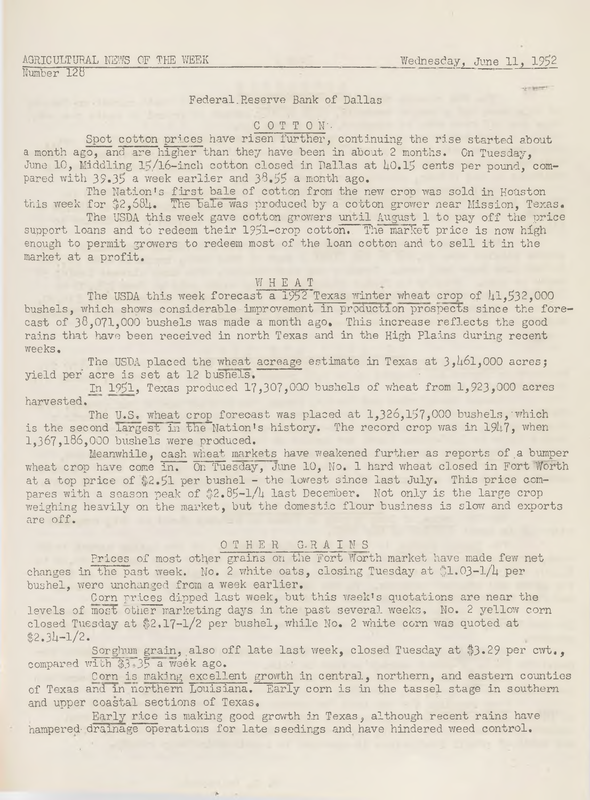#### AGRICULTURAL NEWS OF THE WEEK Number 128

Wednesday, June 11, 1952

Federal Reserve Bank of Dallas

### COTTON.

Spot cotton prices have risen further, continuing the rise started about a month ago, and are higher than they have been in about 2 months. On Tuesday, June 10, Middling 15/16-inch cotton closed in Dallas at 40.15 cents per pound, compared with  $39.35$  a week earlier and  $38.55$  a month ago.

The Nation's first bale of cotton from the new crop was sold in Houston this week for  $32,684$ . The bale was produced by a cotton grower near Mission, Texas.

The USDA this week gave cotton growers until August 1 to pay off the price support loans and to redeem their 1951-crop cotton. The market price is now high enough to permit growers to redeem most of the loan cotton and to sell it in the market at a profit.

### W H E A T

The USDA this week forecast a  $1952$  Texas winter wheat crop of  $\mu$ 1.532.000 bushels, which shows considerable improvement in production prospects since the forecast of  $38,071,000$  bushels was made a month ago. This increase reflects the good rains that have been received in north Texas and in the High Plains during recent weeks.

The USDA placed the wheat acreage estimate in Texas at 3,461,000 acres; yield per acre is set at 12 bushels.

In 1951, Texas produced 17,307,000 bushels of wheat from 1,923,000 acres harvested.

The U.S. wheat crop forecast was placed at 1,326,157,000 bushels, which is the second largest in the Nation's history. The record crop was in 1947, when 1,367,186,000 bushels were produced.

Meanwhile, cash wheat markets have weakened further as reports of a bumper wheat crop have come in. On Tuesday, June 10, No. 1 hard wheat closed in Fort Worth at a top price of  $2.51$  per bushel - the lowest since last July. This price compares with a season peak of  $32.85 - 1/l$  last December. Not only is the large crop weighing heavily on the market, but the domestic flour business is slow and exports are off.

# O T H E R G. R A I N S

Prices of most other grains on the Fort Worth market have made few net changes in the past week. No. 2 white oats, closing Tuesday at  $1.03-1/4$  per bushel, were unchanged from a week earlier.

Corn prices dipped last week, but this week's quotations are near the levels of most other marketing days in the past several weeks, No. 2 yellow corn closed Tuesday at \$2.17-1/2 per bushel, while No. 2 white corn was quoted at  $$2.34 - 1/2.$ 

Sorghum grain, also off late last week, closed Tuesday at \$3.29 per cwt., compared with  $$3 \overline{35}$  a week ago.

Corn is making excellent growth in central, northern, and eastern counties of Texas and in northern Louisiana. Early corn is in the tassel stage in southern and upper coastal sections of Texas,

Early rice is making good growth in Texas, although recent rains have hampered- drainage operations for late seedings and have hindered weed control.